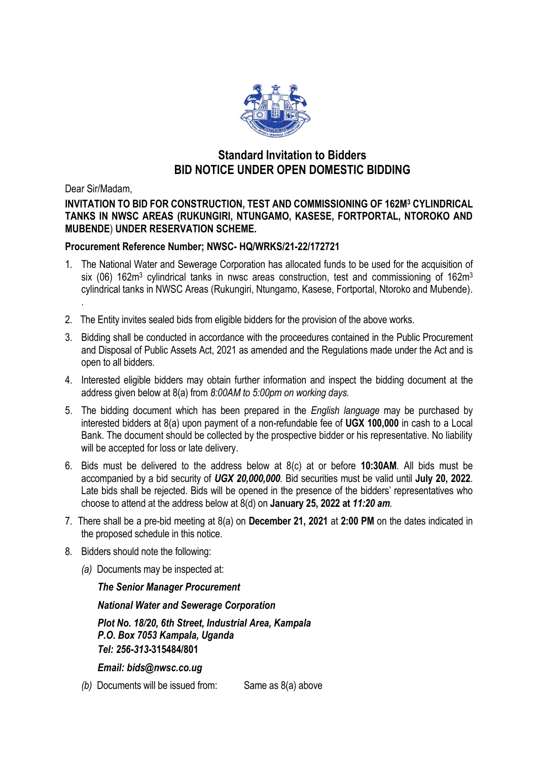

# **Standard Invitation to Bidders BID NOTICE UNDER OPEN DOMESTIC BIDDING**

Dear Sir/Madam,

### **INVITATION TO BID FOR CONSTRUCTION, TEST AND COMMISSIONING OF 162M<sup>3</sup> CYLINDRICAL TANKS IN NWSC AREAS (RUKUNGIRI, NTUNGAMO, KASESE, FORTPORTAL, NTOROKO AND MUBENDE**) **UNDER RESERVATION SCHEME.**

### **Procurement Reference Number; NWSC- HQ/WRKS/21-22/172721**

- 1. The National Water and Sewerage Corporation has allocated funds to be used for the acquisition of six (06) 162m<sup>3</sup> cylindrical tanks in nwsc areas construction, test and commissioning of 162m<sup>3</sup> cylindrical tanks in NWSC Areas (Rukungiri, Ntungamo, Kasese, Fortportal, Ntoroko and Mubende). .
- 2. The Entity invites sealed bids from eligible bidders for the provision of the above works.
- 3. Bidding shall be conducted in accordance with the proceedures contained in the Public Procurement and Disposal of Public Assets Act, 2021 as amended and the Regulations made under the Act and is open to all bidders.
- 4. Interested eligible bidders may obtain further information and inspect the bidding document at the address given below at 8(a) from *8:00AM to 5:00pm on working days.*
- 5. The bidding document which has been prepared in the *English language* may be purchased by interested bidders at 8(a) upon payment of a non-refundable fee of **UGX 100,000** in cash to a Local Bank. The document should be collected by the prospective bidder or his representative. No liability will be accepted for loss or late delivery.
- 6. Bids must be delivered to the address below at 8(c) at or before **10:30AM**. All bids must be accompanied by a bid security of *UGX 20,000,000.* Bid securities must be valid until **July 20, 2022**. Late bids shall be rejected. Bids will be opened in the presence of the bidders' representatives who choose to attend at the address below at 8(d) on **January 25, 2022 at** *11:20 am.*
- 7. There shall be a pre-bid meeting at 8(a) on **December 21, 2021** at **2:00 PM** on the dates indicated in the proposed schedule in this notice.
- 8. Bidders should note the following:
	- *(a)* Documents may be inspected at:

#### *The Senior Manager Procurement*

*National Water and Sewerage Corporation*

*Plot No. 18/20, 6th Street, Industrial Area, Kampala P.O. Box 7053 Kampala, Uganda Tel: 256-313-***315484/801**

*Email: bids@nwsc.co.ug*

*(b)* Documents will be issued from: Same as 8(a) above